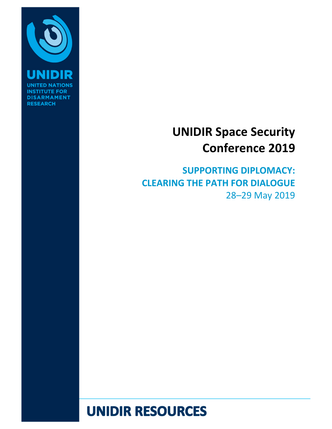

**INSTI DISARMAMENT RESEARCH** 

# UNIDIR Space Security Conference 2019

SUPPORTING DIPLOMACY: CLEARING THE PATH FOR DIALOGUE 28–29 May 2019

# **UNIDIR RESOURCES**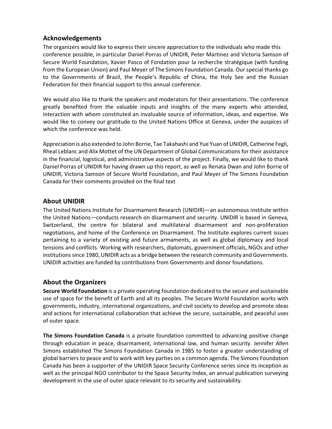### Acknowledgements

The organizers would like to express their sincere appreciation to the individuals who made this conference possible, in particular Daniel Porras of UNIDIR, Peter Martinez and Victoria Samson of Secure World Foundation, Xavier Pasco of Fondation pour la recherche stratégique (with funding from the European Union) and Paul Meyer of The Simons Foundation Canada. Our special thanks go to the Governments of Brazil, the People's Republic of China, the Holy See and the Russian Federation for their financial support to this annual conference.

We would also like to thank the speakers and moderators for their presentations. The conference greatly benefited from the valuable inputs and insights of the many experts who attended, interaction with whom constituted an invaluable source of information, ideas, and expertise. We would like to convey our gratitude to the United Nations Office at Geneva, under the auspices of which the conference was held.

Appreciation is also extended to John Borrie, Tae Takahashi and Yue Yuan of UNIDIR, Catherine Fegli, Rheal Leblanc and Alix Mottet of the UN Department of Global Communications for their assistance in the financial, logistical, and administrative aspects of the project. Finally, we would like to thank Daniel Porras of UNIDIR for having drawn up this report, as well as Renata Dwan and John Borrie of UNIDIR, Victoria Samson of Secure World Foundation, and Paul Meyer of The Simons Foundation Canada for their comments provided on the final text

### About UNIDIR

The United Nations Institute for Disarmament Research (UNIDIR)—an autonomous institute within the United Nations—conducts research on disarmament and security. UNIDIR is based in Geneva, Switzerland, the centre for bilateral and multilateral disarmament and non-proliferation negotiations, and home of the Conference on Disarmament. The Institute explores current issues pertaining to a variety of existing and future armaments, as well as global diplomacy and local tensions and conflicts. Working with researchers, diplomats, government officials, NGOs and other institutions since 1980, UNIDIR acts as a bridge between the research community and Governments. UNIDIR activities are funded by contributions from Governments and donor foundations.

### About the Organizers

Secure World Foundation is a private operating foundation dedicated to the secure and sustainable use of space for the benefit of Earth and all its peoples. The Secure World Foundation works with governments, industry, international organizations, and civil society to develop and promote ideas and actions for international collaboration that achieve the secure, sustainable, and peaceful uses of outer space.

The Simons Foundation Canada is a private foundation committed to advancing positive change through education in peace, disarmament, international law, and human security. Jennifer Allen Simons established The Simons Foundation Canada in 1985 to foster a greater understanding of global barriers to peace and to work with key parties on a common agenda. The Simons Foundation Canada has been a supporter of the UNIDIR Space Security Conference series since its inception as well as the principal NGO contributor to the Space Security Index, an annual publication surveying development in the use of outer space relevant to its security and sustainability.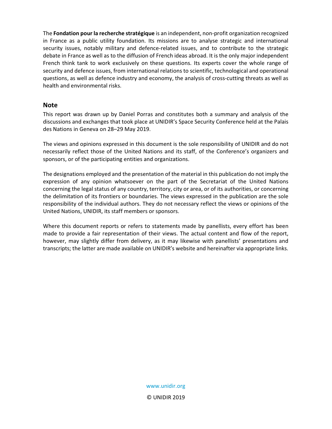The Fondation pour la recherche stratégique is an independent, non-profit organization recognized in France as a public utility foundation. Its missions are to analyse strategic and international security issues, notably military and defence-related issues, and to contribute to the strategic debate in France as well as to the diffusion of French ideas abroad. It is the only major independent French think tank to work exclusively on these questions. Its experts cover the whole range of security and defence issues, from international relations to scientific, technological and operational questions, as well as defence industry and economy, the analysis of cross-cutting threats as well as health and environmental risks.

#### **Note**

This report was drawn up by Daniel Porras and constitutes both a summary and analysis of the discussions and exchanges that took place at UNIDIR's Space Security Conference held at the Palais des Nations in Geneva on 28–29 May 2019.

The views and opinions expressed in this document is the sole responsibility of UNIDIR and do not necessarily reflect those of the United Nations and its staff, of the Conference's organizers and sponsors, or of the participating entities and organizations.

The designations employed and the presentation of the material in this publication do not imply the expression of any opinion whatsoever on the part of the Secretariat of the United Nations concerning the legal status of any country, territory, city or area, or of its authorities, or concerning the delimitation of its frontiers or boundaries. The views expressed in the publication are the sole responsibility of the individual authors. They do not necessary reflect the views or opinions of the United Nations, UNIDIR, its staff members or sponsors.

Where this document reports or refers to statements made by panellists, every effort has been made to provide a fair representation of their views. The actual content and flow of the report, however, may slightly differ from delivery, as it may likewise with panellists' presentations and transcripts; the latter are made available on UNIDIR's website and hereinafter via appropriate links.

> www.unidir.org © UNIDIR 2019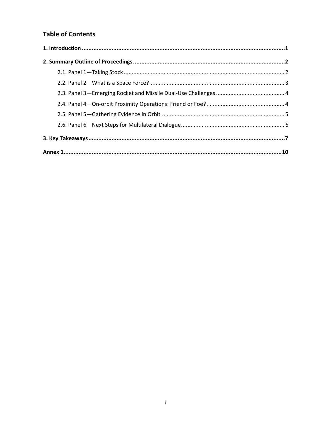## **Table of Contents**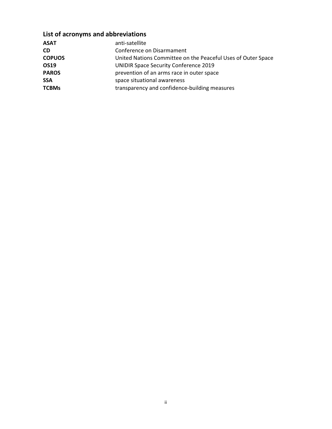## List of acronyms and abbreviations

| anti-satellite                                               |
|--------------------------------------------------------------|
| Conference on Disarmament                                    |
| United Nations Committee on the Peaceful Uses of Outer Space |
| <b>UNIDIR Space Security Conference 2019</b>                 |
| prevention of an arms race in outer space                    |
| space situational awareness                                  |
| transparency and confidence-building measures                |
|                                                              |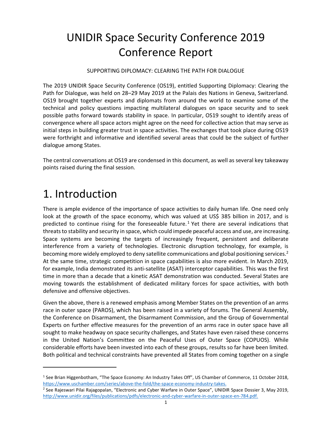## UNIDIR Space Security Conference 2019 Conference Report

SUPPORTING DIPLOMACY: CLEARING THE PATH FOR DIALOGUE

The 2019 UNIDIR Space Security Conference (OS19), entitled Supporting Diplomacy: Clearing the Path for Dialogue, was held on 28–29 May 2019 at the Palais des Nations in Geneva, Switzerland. OS19 brought together experts and diplomats from around the world to examine some of the technical and policy questions impacting multilateral dialogues on space security and to seek possible paths forward towards stability in space. In particular, OS19 sought to identify areas of convergence where all space actors might agree on the need for collective action that may serve as initial steps in building greater trust in space activities. The exchanges that took place during OS19 were forthright and informative and identified several areas that could be the subject of further dialogue among States.

The central conversations at OS19 are condensed in this document, as well as several key takeaway points raised during the final session.

## 1. Introduction

-

There is ample evidence of the importance of space activities to daily human life. One need only look at the growth of the space economy, which was valued at US\$ 385 billion in 2017, and is predicted to continue rising for the foreseeable future.<sup>1</sup> Yet there are several indications that threats to stability and security in space, which could impede peaceful access and use, are increasing. Space systems are becoming the targets of increasingly frequent, persistent and deliberate interference from a variety of technologies. Electronic disruption technology, for example, is becoming more widely employed to deny satellite communications and global positioning services.<sup>2</sup> At the same time, strategic competition in space capabilities is also more evident. In March 2019, for example, India demonstrated its anti-satellite (ASAT) interceptor capabilities. This was the first time in more than a decade that a kinetic ASAT demonstration was conducted. Several States are moving towards the establishment of dedicated military forces for space activities, with both defensive and offensive objectives.

Given the above, there is a renewed emphasis among Member States on the prevention of an arms race in outer space (PAROS), which has been raised in a variety of forums. The General Assembly, the Conference on Disarmament, the Disarmament Commission, and the Group of Governmental Experts on further effective measures for the prevention of an arms race in outer space have all sought to make headway on space security challenges, and States have even raised these concerns in the United Nation's Committee on the Peaceful Uses of Outer Space (COPUOS). While considerable efforts have been invested into each of these groups, results so far have been limited. Both political and technical constraints have prevented all States from coming together on a single

<sup>&</sup>lt;sup>1</sup> See Brian Higgenbotham, "The Space Economy: An Industry Takes Off", US Chamber of Commerce, 11 October 2018, https://www.uschamber.com/series/above-the-fold/the-space-economy-industry-takes.

<sup>&</sup>lt;sup>2</sup> See Rajeswari Pilai Rajagopalan, "Electronic and Cyber Warfare in Outer Space", UNIDIR Space Dossier 3, May 2019, http://www.unidir.org/files/publications/pdfs/electronic-and-cyber-warfare-in-outer-space-en-784.pdf.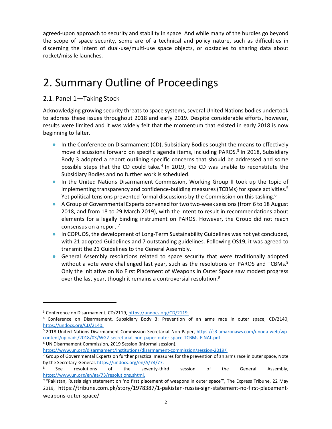agreed-upon approach to security and stability in space. And while many of the hurdles go beyond the scope of space security, some are of a technical and policy nature, such as difficulties in discerning the intent of dual-use/multi-use space objects, or obstacles to sharing data about rocket/missile launches.

## 2. Summary Outline of Proceedings

## 2.1. Panel 1—Taking Stock

Acknowledging growing security threats to space systems, several United Nations bodies undertook to address these issues throughout 2018 and early 2019. Despite considerable efforts, however, results were limited and it was widely felt that the momentum that existed in early 2018 is now beginning to falter.

- In the Conference on Disarmament (CD), Subsidiary Bodies sought the means to effectively move discussions forward on specific agenda items, including PAROS.<sup>3</sup> In 2018, Subsidiary Body 3 adopted a report outlining specific concerns that should be addressed and some possible steps that the CD could take.<sup>4</sup> In 2019, the CD was unable to reconstitute the Subsidiary Bodies and no further work is scheduled.
- In the United Nations Disarmament Commission, Working Group II took up the topic of implementing transparency and confidence-building measures (TCBMs) for space activities.<sup>5</sup> Yet political tensions prevented formal discussions by the Commission on this tasking.<sup>6</sup>
- A Group of Governmental Experts convened for two two-week sessions (from 6 to 18 August 2018, and from 18 to 29 March 2019), with the intent to result in recommendations about elements for a legally binding instrument on PAROS. However, the Group did not reach consensus on a report.<sup>7</sup>
- In COPUOS, the development of Long-Term Sustainability Guidelines was not yet concluded, with 21 adopted Guidelines and 7 outstanding guidelines. Following OS19, it was agreed to transmit the 21 Guidelines to the General Assembly.
- General Assembly resolutions related to space security that were traditionally adopted without a vote were challenged last year, such as the resolutions on PAROS and TCBMs.<sup>8</sup> Only the initiative on No First Placement of Weapons in Outer Space saw modest progress over the last year, though it remains a controversial resolution.<sup>9</sup>

1

<sup>6</sup> UN Disarmament Commission, 2019 Session (informal session),

<sup>&</sup>lt;sup>3</sup> Conference on Disarmament, CD/2119, https://undocs.org/CD/2119.

<sup>4</sup> Conference on Disarmament, Subsidiary Body 3: Prevention of an arms race in outer space, CD/2140, https://undocs.org/CD/2140.

<sup>&</sup>lt;sup>5</sup> 2018 United Nations Disarmament Commission Secretariat Non-Paper, https://s3.amazonaws.com/unoda-web/wpcontent/uploads/2018/03/WG2-secretariat-non-paper-outer-space-TCBMs-FINAL.pdf.

https://www.un.org/disarmament/institutions/disarmament-commission/session-2019/.

 $^7$  Group of Governmental Experts on further practical measures for the prevention of an arms race in outer space, Note by the Secretary-General, https://undocs.org/en/A/74/77.

<sup>8</sup> See resolutions of the seventy-third session of the General Assembly, https://www.un.org/en/ga/73/resolutions.shtml.

<sup>&</sup>lt;sup>9</sup> "Pakistan, Russia sign statement on 'no first placement of weapons in outer space'", The Express Tribune, 22 May 2019, https://tribune.com.pk/story/1978387/1-pakistan-russia-sign-statement-no-first-placementweapons-outer-space/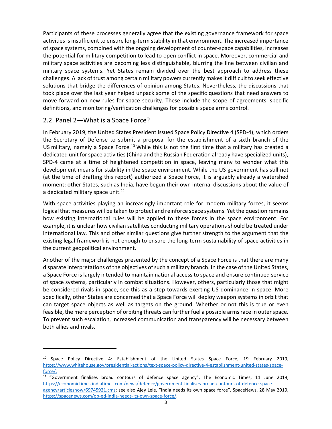Participants of these processes generally agree that the existing governance framework for space activities is insufficient to ensure long-term stability in that environment. The increased importance of space systems, combined with the ongoing development of counter-space capabilities, increases the potential for military competition to lead to open conflict in space. Moreover, commercial and military space activities are becoming less distinguishable, blurring the line between civilian and military space systems. Yet States remain divided over the best approach to address these challenges. A lack of trust among certain military powers currently makes it difficult to seek effective solutions that bridge the differences of opinion among States. Nevertheless, the discussions that took place over the last year helped unpack some of the specific questions that need answers to move forward on new rules for space security. These include the scope of agreements, specific definitions, and monitoring/verification challenges for possible space arms control.

### 2.2. Panel 2—What is a Space Force?

-

In February 2019, the United States President issued Space Policy Directive 4 (SPD-4), which orders the Secretary of Defense to submit a proposal for the establishment of a sixth branch of the US military, namely a Space Force.<sup>10</sup> While this is not the first time that a military has created a dedicated unit for space activities (China and the Russian Federation already have specialized units), SPD-4 came at a time of heightened competition in space, leaving many to wonder what this development means for stability in the space environment. While the US government has still not (at the time of drafting this report) authorized a Space Force, it is arguably already a watershed moment: other States, such as India, have begun their own internal discussions about the value of a dedicated military space unit. $^{11}$ 

With space activities playing an increasingly important role for modern military forces, it seems logical that measures will be taken to protect and reinforce space systems. Yet the question remains how existing international rules will be applied to these forces in the space environment. For example, it is unclear how civilian satellites conducting military operations should be treated under international law. This and other similar questions give further strength to the argument that the existing legal framework is not enough to ensure the long-term sustainability of space activities in the current geopolitical environment.

Another of the major challenges presented by the concept of a Space Force is that there are many disparate interpretations of the objectives of such a military branch. In the case of the United States, a Space Force is largely intended to maintain national access to space and ensure continued service of space systems, particularly in combat situations. However, others, particularly those that might be considered rivals in space, see this as a step towards exerting US dominance in space. More specifically, other States are concerned that a Space Force will deploy weapon systems in orbit that can target space objects as well as targets on the ground. Whether or not this is true or even feasible, the mere perception of orbiting threats can further fuel a possible arms race in outer space. To prevent such escalation, increased communication and transparency will be necessary between both allies and rivals.

<sup>&</sup>lt;sup>10</sup> Space Policy Directive 4: Establishment of the United States Space Force, 19 February 2019, https://www.whitehouse.gov/presidential-actions/text-space-policy-directive-4-establishment-united-states-spaceforce/.

 $11$  "Government finalises broad contours of defence space agency", The Economic Times, 11 June 2019, https://economictimes.indiatimes.com/news/defence/government-finalises-broad-contours-of-defence-spaceagency/articleshow/69745921.cms; see also Ajey Lele, "India needs its own space force", SpaceNews, 28 May 2019, https://spacenews.com/op-ed-india-needs-its-own-space-force/.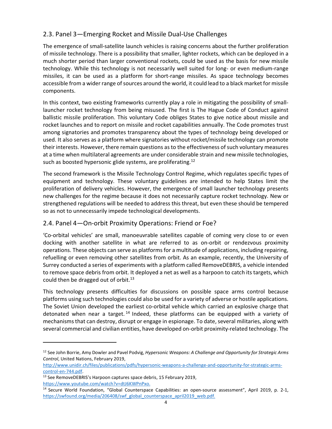## 2.3. Panel 3—Emerging Rocket and Missile Dual-Use Challenges

The emergence of small-satellite launch vehicles is raising concerns about the further proliferation of missile technology. There is a possibility that smaller, lighter rockets, which can be deployed in a much shorter period than larger conventional rockets, could be used as the basis for new missile technology. While this technology is not necessarily well suited for long- or even medium-range missiles, it can be used as a platform for short-range missiles. As space technology becomes accessible from a wider range of sources around the world, it could lead to a black market for missile components.

In this context, two existing frameworks currently play a role in mitigating the possibility of smalllauncher rocket technology from being misused. The first is The Hague Code of Conduct against ballistic missile proliferation. This voluntary Code obliges States to give notice about missile and rocket launches and to report on missile and rocket capabilities annually. The Code promotes trust among signatories and promotes transparency about the types of technology being developed or used. It also serves as a platform where signatories without rocket/missile technology can promote their interests. However, there remain questions as to the effectiveness of such voluntary measures at a time when multilateral agreements are under considerable strain and new missile technologies, such as boosted hypersonic glide systems, are proliferating.<sup>12</sup>

The second framework is the Missile Technology Control Regime, which regulates specific types of equipment and technology. These voluntary guidelines are intended to help States limit the proliferation of delivery vehicles. However, the emergence of small launcher technology presents new challenges for the regime because it does not necessarily capture rocket technology. New or strengthened regulations will be needed to address this threat, but even these should be tempered so as not to unnecessarily impede technological developments.

### 2.4. Panel 4—On-orbit Proximity Operations: Friend or Foe?

'Co-orbital vehicles' are small, manoeuvrable satellites capable of coming very close to or even docking with another satellite in what are referred to as on-orbit or rendezvous proximity operations. These objects can serve as platforms for a multitude of applications, including repairing, refuelling or even removing other satellites from orbit. As an example, recently, the University of Surrey conducted a series of experiments with a platform called RemoveDEBRIS, a vehicle intended to remove space debris from orbit. It deployed a net as well as a harpoon to catch its targets, which could then be dragged out of orbit.<sup>13</sup>

This technology presents difficulties for discussions on possible space arms control because platforms using such technologies could also be used for a variety of adverse or hostile applications. The Soviet Union developed the earliest co-orbital vehicle which carried an explosive charge that detonated when near a target.<sup>14</sup> Indeed, these platforms can be equipped with a variety of mechanisms that can destroy, disrupt or engage in espionage. To date, several militaries, along with several commercial and civilian entities, have developed on-orbit proximity-related technology. The

.

<sup>&</sup>lt;sup>12</sup> See John Borrie, Amy Dowler and Pavel Podvig, Hypersonic Weapons: A Challenge and Opportunity for Strategic Arms Control, United Nations, February 2019,

http://www.unidir.ch/files/publications/pdfs/hypersonic-weapons-a-challenge-and-opportunity-for-strategic-armscontrol-en-744.pdf.

<sup>&</sup>lt;sup>13</sup> See RemoveDEBRIS's Harpoon captures space debris, 15 February 2019, https://www.youtube.com/watch?v=dtJ6KWPnPxo.

<sup>&</sup>lt;sup>14</sup> Secure World Foundation, "Global Counterspace Capabilities: an open-source assessment", April 2019, p. 2-1, https://swfound.org/media/206408/swf\_global\_counterspace\_april2019\_web.pdf.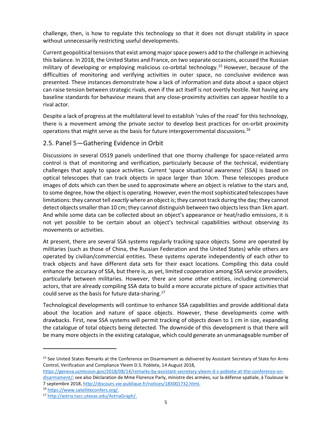challenge, then, is how to regulate this technology so that it does not disrupt stability in space without unnecessarily restricting useful developments.

Current geopolitical tensions that exist among major space powers add to the challenge in achieving this balance. In 2018, the United States and France, on two separate occasions, accused the Russian military of developing or employing malicious co-orbital technology.<sup>15</sup> However, because of the difficulties of monitoring and verifying activities in outer space, no conclusive evidence was presented. These instances demonstrate how a lack of information and data about a space object can raise tension between strategic rivals, even if the act itself is not overtly hostile. Not having any baseline standards for behaviour means that any close-proximity activities can appear hostile to a rival actor.

Despite a lack of progress at the multilateral level to establish 'rules of the road' for this technology, there is a movement among the private sector to develop best practices for on-orbit proximity operations that might serve as the basis for future intergovernmental discussions.<sup>16</sup>

### 2.5. Panel 5—Gathering Evidence in Orbit

Discussions in several OS19 panels underlined that one thorny challenge for space-related arms control is that of monitoring and verification, particularly because of the technical, evidentiary challenges that apply to space activities. Current 'space situational awareness' (SSA) is based on optical telescopes that can track objects in space larger than 10cm. These telescopes produce images of dots which can then be used to approximate where an object is relative to the stars and, to some degree, how the object is operating. However, even the most sophisticated telescopes have limitations: they cannot tell exactly where an object is; they cannot track during the day; they cannot detect objects smaller than 10 cm; they cannot distinguish between two objects less than 1km apart. And while some data can be collected about an object's appearance or heat/radio emissions, it is not yet possible to be certain about an object's technical capabilities without observing its movements or activities.

At present, there are several SSA systems regularly tracking space objects. Some are operated by militaries (such as those of China, the Russian Federation and the United States) while others are operated by civilian/commercial entities. These systems operate independently of each other to track objects and have different data sets for their exact locations. Compiling this data could enhance the accuracy of SSA, but there is, as yet, limited cooperation among SSA service providers, particularly between militaries. However, there are some other entities, including commercial actors, that are already compiling SSA data to build a more accurate picture of space activities that could serve as the basis for future data-sharing.<sup>17</sup>

Technological developments will continue to enhance SSA capabilities and provide additional data about the location and nature of space objects. However, these developments come with drawbacks. First, new SSA systems will permit tracking of objects down to 1 cm in size, expanding the catalogue of total objects being detected. The downside of this development is that there will be many more objects in the existing catalogue, which could generate an unmanageable number of

-

<sup>&</sup>lt;sup>15</sup> See United States Remarks at the Conference on Disarmament as delivered by Assistant Secretary of State for Arms Control, Verification and Compliance Yleem D.S. Poblete, 14 August 2018,

https://geneva.usmission.gov/2018/08/14/remarks-by-assistant-secretary-yleem-d-s-poblete-at-the-conference-ondisarmament/; see also Déclaration de Mme Florence Parly, ministre des armées, sur la défense spatiale, à Toulouse le 7 septembre 2018, http://discours.vie-publique.fr/notices/183001732.html.

<sup>16</sup> https://www.satelliteconfers.org/.

<sup>17</sup> http://astria.tacc.utexas.edu/AstriaGraph/.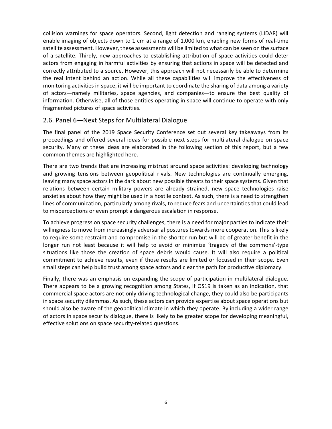collision warnings for space operators. Second, light detection and ranging systems (LIDAR) will enable imaging of objects down to 1 cm at a range of 1,000 km, enabling new forms of real-time satellite assessment. However, these assessments will be limited to what can be seen on the surface of a satellite. Thirdly, new approaches to establishing attribution of space activities could deter actors from engaging in harmful activities by ensuring that actions in space will be detected and correctly attributed to a source. However, this approach will not necessarily be able to determine the real intent behind an action. While all these capabilities will improve the effectiveness of monitoring activities in space, it will be important to coordinate the sharing of data among a variety of actors—namely militaries, space agencies, and companies—to ensure the best quality of information. Otherwise, all of those entities operating in space will continue to operate with only fragmented pictures of space activities.

### 2.6. Panel 6—Next Steps for Multilateral Dialogue

The final panel of the 2019 Space Security Conference set out several key takeaways from its proceedings and offered several ideas for possible next steps for multilateral dialogue on space security. Many of these ideas are elaborated in the following section of this report, but a few common themes are highlighted here.

There are two trends that are increasing mistrust around space activities: developing technology and growing tensions between geopolitical rivals. New technologies are continually emerging, leaving many space actors in the dark about new possible threats to their space systems. Given that relations between certain military powers are already strained, new space technologies raise anxieties about how they might be used in a hostile context. As such, there is a need to strengthen lines of communication, particularly among rivals, to reduce fears and uncertainties that could lead to misperceptions or even prompt a dangerous escalation in response.

To achieve progress on space security challenges, there is a need for major parties to indicate their willingness to move from increasingly adversarial postures towards more cooperation. This is likely to require some restraint and compromise in the shorter run but will be of greater benefit in the longer run not least because it will help to avoid or minimize 'tragedy of the commons'-type situations like those the creation of space debris would cause. It will also require a political commitment to achieve results, even if those results are limited or focused in their scope. Even small steps can help build trust among space actors and clear the path for productive diplomacy.

Finally, there was an emphasis on expanding the scope of participation in multilateral dialogue. There appears to be a growing recognition among States, if OS19 is taken as an indication, that commercial space actors are not only driving technological change, they could also be participants in space security dilemmas. As such, these actors can provide expertise about space operations but should also be aware of the geopolitical climate in which they operate. By including a wider range of actors in space security dialogue, there is likely to be greater scope for developing meaningful, effective solutions on space security-related questions.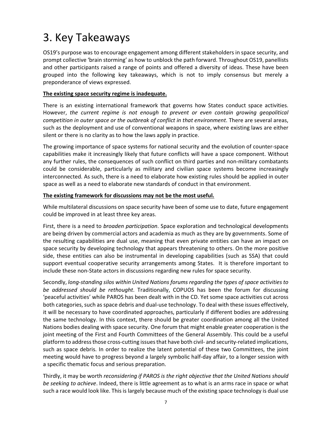## 3. Key Takeaways

OS19's purpose was to encourage engagement among different stakeholders in space security, and prompt collective 'brain storming' as how to unblock the path forward. Throughout OS19, panellists and other participants raised a range of points and offered a diversity of ideas. These have been grouped into the following key takeaways, which is not to imply consensus but merely a preponderance of views expressed.

#### The existing space security regime is inadequate.

There is an existing international framework that governs how States conduct space activities. However, the current regime is not enough to prevent or even contain growing geopolitical competition in outer space or the outbreak of conflict in that environment. There are several areas, such as the deployment and use of conventional weapons in space, where existing laws are either silent or there is no clarity as to how the laws apply in practice.

The growing importance of space systems for national security and the evolution of counter-space capabilities make it increasingly likely that future conflicts will have a space component. Without any further rules, the consequences of such conflict on third parties and non-military combatants could be considerable, particularly as military and civilian space systems become increasingly interconnected. As such, there is a need to elaborate how existing rules should be applied in outer space as well as a need to elaborate new standards of conduct in that environment.

#### The existing framework for discussions may not be the most useful.

While multilateral discussions on space security have been of some use to date, future engagement could be improved in at least three key areas.

First, there is a need to broaden participation. Space exploration and technological developments are being driven by commercial actors and academia as much as they are by governments. Some of the resulting capabilities are dual use, meaning that even private entities can have an impact on space security by developing technology that appears threatening to others. On the more positive side, these entities can also be instrumental in developing capabilities (such as SSA) that could support eventual cooperative security arrangements among States. It is therefore important to include these non-State actors in discussions regarding new rules for space security.

Secondly, long-standing silos within United Nations forums regarding the types of space activities to be addressed should be rethought. Traditionally, COPUOS has been the forum for discussing 'peaceful activities' while PAROS has been dealt with in the CD. Yet some space activities cut across both categories, such as space debris and dual-use technology. To deal with these issues effectively, it will be necessary to have coordinated approaches, particularly if different bodies are addressing the same technology. In this context, there should be greater coordination among all the United Nations bodies dealing with space security. One forum that might enable greater cooperation is the joint meeting of the First and Fourth Committees of the General Assembly. This could be a useful platform to address those cross-cutting issues that have both civil- and security-related implications, such as space debris. In order to realize the latent potential of these two Committees, the joint meeting would have to progress beyond a largely symbolic half-day affair, to a longer session with a specific thematic focus and serious preparation.

Thirdly, it may be worth reconsidering if PAROS is the right objective that the United Nations should be seeking to achieve. Indeed, there is little agreement as to what is an arms race in space or what such a race would look like. This is largely because much of the existing space technology is dual use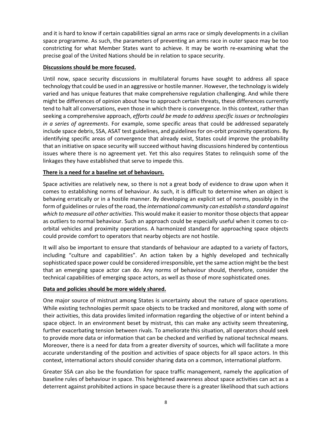and it is hard to know if certain capabilities signal an arms race or simply developments in a civilian space programme. As such, the parameters of preventing an arms race in outer space may be too constricting for what Member States want to achieve. It may be worth re-examining what the precise goal of the United Nations should be in relation to space security.

#### Discussions should be more focused.

Until now, space security discussions in multilateral forums have sought to address all space technology that could be used in an aggressive or hostile manner. However, the technology is widely varied and has unique features that make comprehensive regulation challenging. And while there might be differences of opinion about how to approach certain threats, these differences currently tend to halt all conversations, even those in which there is convergence. In this context, rather than seeking a comprehensive approach, efforts could be made to address specific issues or technologies in a series of agreements. For example, some specific areas that could be addressed separately include space debris, SSA, ASAT test guidelines, and guidelines for on-orbit proximity operations. By identifying specific areas of convergence that already exist, States could improve the probability that an initiative on space security will succeed without having discussions hindered by contentious issues where there is no agreement yet. Yet this also requires States to relinquish some of the linkages they have established that serve to impede this.

#### There is a need for a baseline set of behaviours.

Space activities are relatively new, so there is not a great body of evidence to draw upon when it comes to establishing norms of behaviour. As such, it is difficult to determine when an object is behaving erratically or in a hostile manner. By developing an explicit set of norms, possibly in the form of guidelines or rules of the road, the international community can establish a standard against which to measure all other activities. This would make it easier to monitor those objects that appear as outliers to normal behaviour. Such an approach could be especially useful when it comes to coorbital vehicles and proximity operations. A harmonized standard for approaching space objects could provide comfort to operators that nearby objects are not hostile.

It will also be important to ensure that standards of behaviour are adapted to a variety of factors, including "culture and capabilities". An action taken by a highly developed and technically sophisticated space power could be considered irresponsible, yet the same action might be the best that an emerging space actor can do. Any norms of behaviour should, therefore, consider the technical capabilities of emerging space actors, as well as those of more sophisticated ones.

#### Data and policies should be more widely shared.

One major source of mistrust among States is uncertainty about the nature of space operations. While existing technologies permit space objects to be tracked and monitored, along with some of their activities, this data provides limited information regarding the objective of or intent behind a space object. In an environment beset by mistrust, this can make any activity seem threatening, further exacerbating tension between rivals. To ameliorate this situation, all operators should seek to provide more data or information that can be checked and verified by national technical means. Moreover, there is a need for data from a greater diversity of sources, which will facilitate a more accurate understanding of the position and activities of space objects for all space actors. In this context, international actors should consider sharing data on a common, international platform.

Greater SSA can also be the foundation for space traffic management, namely the application of baseline rules of behaviour in space. This heightened awareness about space activities can act as a deterrent against prohibited actions in space because there is a greater likelihood that such actions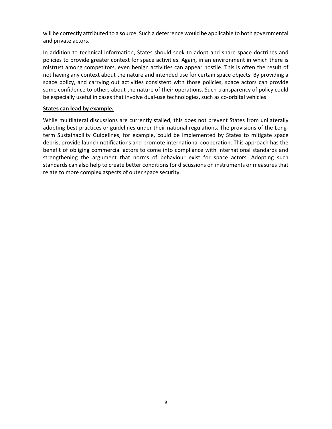will be correctly attributed to a source. Such a deterrence would be applicable to both governmental and private actors.

In addition to technical information, States should seek to adopt and share space doctrines and policies to provide greater context for space activities. Again, in an environment in which there is mistrust among competitors, even benign activities can appear hostile. This is often the result of not having any context about the nature and intended use for certain space objects. By providing a space policy, and carrying out activities consistent with those policies, space actors can provide some confidence to others about the nature of their operations. Such transparency of policy could be especially useful in cases that involve dual-use technologies, such as co-orbital vehicles.

#### States can lead by example.

While multilateral discussions are currently stalled, this does not prevent States from unilaterally adopting best practices or guidelines under their national regulations. The provisions of the Longterm Sustainability Guidelines, for example, could be implemented by States to mitigate space debris, provide launch notifications and promote international cooperation. This approach has the benefit of obliging commercial actors to come into compliance with international standards and strengthening the argument that norms of behaviour exist for space actors. Adopting such standards can also help to create better conditions for discussions on instruments or measures that relate to more complex aspects of outer space security.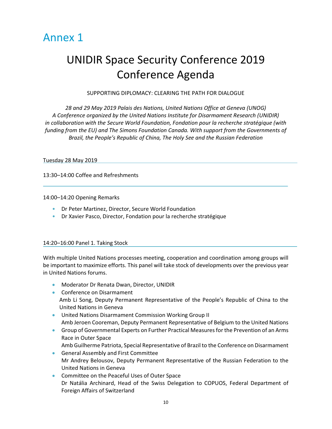

## UNIDIR Space Security Conference 2019 Conference Agenda

#### SUPPORTING DIPLOMACY: CLEARING THE PATH FOR DIALOGUE

28 and 29 May 2019 Palais des Nations, United Nations Office at Geneva (UNOG) A Conference organized by the United Nations Institute for Disarmament Research (UNIDIR) in collaboration with the Secure World Foundation, Fondation pour la recherche stratégique (with funding from the EU) and The Simons Foundation Canada. With support from the Governments of Brazil, the People's Republic of China, The Holy See and the Russian Federation

#### Tuesday 28 May 2019

13:30–14:00 Coffee and Refreshments

14:00–14:20 Opening Remarks

- Dr Peter Martinez, Director, Secure World Foundation
- Dr Xavier Pasco, Director, Fondation pour la recherche stratégique

#### 14:20–16:00 Panel 1. Taking Stock

With multiple United Nations processes meeting, cooperation and coordination among groups will be important to maximize efforts. This panel will take stock of developments over the previous year in United Nations forums.

- Moderator Dr Renata Dwan, Director, UNIDIR
- **•** Conference on Disarmament Amb Li Song, Deputy Permanent Representative of the People's Republic of China to the United Nations in Geneva
- United Nations Disarmament Commission Working Group II Amb Jeroen Cooreman, Deputy Permanent Representative of Belgium to the United Nations
- Group of Governmental Experts on Further Practical Measures for the Prevention of an Arms Race in Outer Space Amb Guilherme Patriota, Special Representative of Brazil to the Conference on Disarmament
- General Assembly and First Committee Mr Andrey Belousov, Deputy Permanent Representative of the Russian Federation to the United Nations in Geneva
- Committee on the Peaceful Uses of Outer Space Dr Natália Archinard, Head of the Swiss Delegation to COPUOS, Federal Department of Foreign Affairs of Switzerland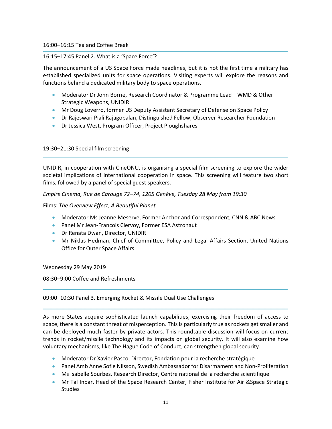#### 16:00–16:15 Tea and Coffee Break

#### 16:15–17:45 Panel 2. What is a 'Space Force'?

The announcement of a US Space Force made headlines, but it is not the first time a military has established specialized units for space operations. Visiting experts will explore the reasons and functions behind a dedicated military body to space operations.

- Moderator Dr John Borrie, Research Coordinator & Programme Lead—WMD & Other Strategic Weapons, UNIDIR
- **Mr Doug Loverro, former US Deputy Assistant Secretary of Defense on Space Policy**
- Dr Rajeswari Piali Rajagopalan, Distinguished Fellow, Observer Researcher Foundation
- Dr Jessica West, Program Officer, Project Ploughshares

#### 19:30–21:30 Special film screening

UNIDIR, in cooperation with CineONU, is organising a special film screening to explore the wider societal implications of international cooperation in space. This screening will feature two short films, followed by a panel of special guest speakers.

Empire Cinema, Rue de Carouge 72–74, 1205 Genève, Tuesday 28 May from 19:30

Films: The Overview Effect, A Beautiful Planet

- Moderator Ms Jeanne Meserve, Former Anchor and Correspondent, CNN & ABC News
- **Panel Mr Jean-Francois Clervoy, Former ESA Astronaut**
- **•** Dr Renata Dwan, Director, UNIDIR
- Mr Niklas Hedman, Chief of Committee, Policy and Legal Affairs Section, United Nations Office for Outer Space Affairs

Wednesday 29 May 2019

08:30–9:00 Coffee and Refreshments

#### 09:00–10:30 Panel 3. Emerging Rocket & Missile Dual Use Challenges

As more States acquire sophisticated launch capabilities, exercising their freedom of access to space, there is a constant threat of misperception. This is particularly true as rockets get smaller and can be deployed much faster by private actors. This roundtable discussion will focus on current trends in rocket/missile technology and its impacts on global security. It will also examine how voluntary mechanisms, like The Hague Code of Conduct, can strengthen global security.

- Moderator Dr Xavier Pasco, Director, Fondation pour la recherche stratégique
- Panel Amb Anne Sofie Nilsson, Swedish Ambassador for Disarmament and Non-Proliferation
- Ms Isabelle Sourbes, Research Director, Centre national de la recherche scientifique
- Mr Tal Inbar, Head of the Space Research Center, Fisher Institute for Air &Space Strategic **Studies**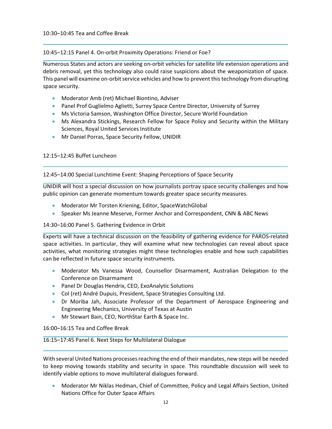10:45–12:15 Panel 4. On-orbit Proximity Operations: Friend or Foe?

Numerous States and actors are seeking on-orbit vehicles for satellite life extension operations and debris removal, yet this technology also could raise suspicions about the weaponization of space. This panel will examine on-orbit service vehicles and how to prevent this technology from disrupting space security.

- Moderator Amb (ret) Michael Biontino, Adviser
- **Panel Prof Guglielmo Aglietti, Surrey Space Centre Director, University of Surrey**
- Ms Victoria Samson, Washington Office Director, Secure World Foundation
- Ms Alexandra Stickings, Research Fellow for Space Policy and Security within the Military Sciences, Royal United Services Institute
- Mr Daniel Porras, Space Security Fellow, UNIDIR

12:15–12:45 Buffet Luncheon

12:45–14:00 Special Lunchtime Event: Shaping Perceptions of Space Security

UNIDIR will host a special discussion on how journalists portray space security challenges and how public opinion can generate momentum towards greater space security measures.

- Moderator Mr Torsten Kriening, Editor, SpaceWatchGlobal
- Speaker Ms Jeanne Meserve, Former Anchor and Correspondent, CNN & ABC News

#### 14:30–16:00 Panel 5. Gathering Evidence in Orbit

Experts will have a technical discussion on the feasibility of gathering evidence for PAROS-related space activities. In particular, they will examine what new technologies can reveal about space activities, what monitoring strategies might these technologies enable and how such capabilities can be reflected in future space security instruments.

- Moderator Ms Vanessa Wood, Counsellor Disarmament, Australian Delegation to the Conference on Disarmament
- **•** Panel Dr Douglas Hendrix, CEO, ExoAnalytic Solutions
- Col (ret) André Dupuis, President, Space Strategies Consulting Ltd.
- Dr Moriba Jah, Associate Professor of the Department of Aerospace Engineering and Engineering Mechanics, University of Texas at Austin
- Mr Stewart Bain, CEO, NorthStar Earth & Space Inc.

16:00–16:15 Tea and Coffee Break

#### 16:15–17:45 Panel 6. Next Steps for Multilateral Dialogue

With several United Nations processes reaching the end of their mandates, new steps will be needed to keep moving towards stability and security in space. This roundtable discussion will seek to identify viable options to move multilateral dialogues forward.

 Moderator Mr Niklas Hedman, Chief of Committee, Policy and Legal Affairs Section, United Nations Office for Outer Space Affairs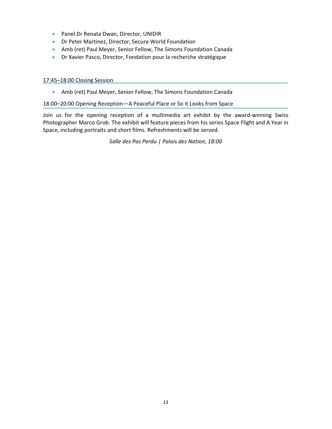- **•** Panel Dr Renata Dwan, Director, UNIDIR
- Dr Peter Martinez, Director, Secure World Foundation
- Amb (ret) Paul Meyer, Senior Fellow, The Simons Foundation Canada
- Dr Xavier Pasco, Director, Fondation pour la recherche stratégique

#### 17:45–18:00 Closing Session

Amb (ret) Paul Meyer, Senior Fellow, The Simons Foundation Canada

#### 18:00–20:00 Opening Reception—A Peaceful Place or So it Looks from Space

Join us for the opening reception of a multimedia art exhibit by the award-winning Swiss Photographer Marco Grob. The exhibit will feature pieces from his series Space Flight and A Year in Space, including portraits and short films. Refreshments will be served.

Salle des Pas Perdu | Palais des Nation, 18:00